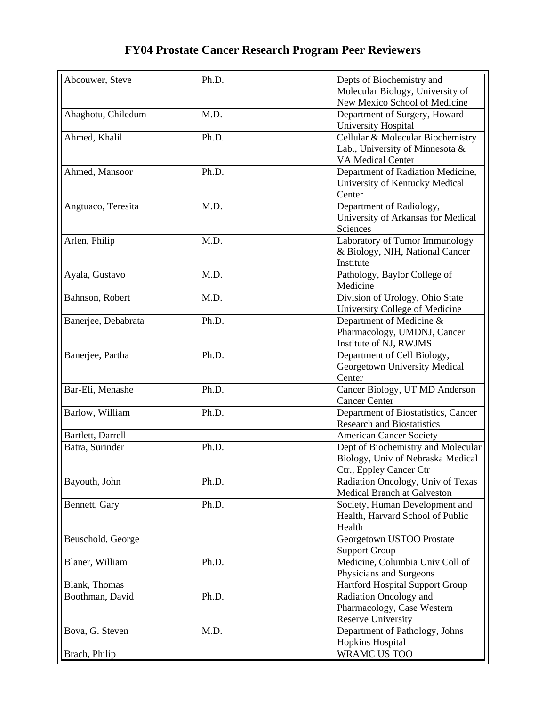## **FY04 Prostate Cancer Research Program Peer Reviewers**

| Abcouwer, Steve     | Ph.D. | Depts of Biochemistry and                               |
|---------------------|-------|---------------------------------------------------------|
|                     |       | Molecular Biology, University of                        |
|                     |       | New Mexico School of Medicine                           |
| Ahaghotu, Chiledum  | M.D.  | Department of Surgery, Howard                           |
|                     |       | University Hospital                                     |
| Ahmed, Khalil       | Ph.D. | Cellular & Molecular Biochemistry                       |
|                     |       | Lab., University of Minnesota &                         |
|                     |       | VA Medical Center                                       |
| Ahmed, Mansoor      | Ph.D. | Department of Radiation Medicine,                       |
|                     |       | University of Kentucky Medical                          |
|                     |       | Center                                                  |
| Angtuaco, Teresita  | M.D.  | Department of Radiology,                                |
|                     |       | University of Arkansas for Medical                      |
|                     |       | Sciences                                                |
|                     |       |                                                         |
| Arlen, Philip       | M.D.  | Laboratory of Tumor Immunology                          |
|                     |       | & Biology, NIH, National Cancer                         |
|                     |       | Institute                                               |
| Ayala, Gustavo      | M.D.  | Pathology, Baylor College of                            |
|                     |       | Medicine                                                |
| Bahnson, Robert     | M.D.  | Division of Urology, Ohio State                         |
|                     |       | University College of Medicine                          |
| Banerjee, Debabrata | Ph.D. | Department of Medicine &                                |
|                     |       | Pharmacology, UMDNJ, Cancer                             |
|                     |       | Institute of NJ, RWJMS                                  |
| Banerjee, Partha    | Ph.D. | Department of Cell Biology,                             |
|                     |       | Georgetown University Medical                           |
|                     |       | Center                                                  |
| Bar-Eli, Menashe    | Ph.D. | Cancer Biology, UT MD Anderson                          |
|                     |       | <b>Cancer Center</b>                                    |
| Barlow, William     | Ph.D. | Department of Biostatistics, Cancer                     |
|                     |       | <b>Research and Biostatistics</b>                       |
| Bartlett, Darrell   |       | <b>American Cancer Society</b>                          |
| Batra, Surinder     | Ph.D. | Dept of Biochemistry and Molecular                      |
|                     |       | Biology, Univ of Nebraska Medical                       |
|                     |       | Ctr., Eppley Cancer Ctr                                 |
| Bayouth, John       | Ph.D. | Radiation Oncology, Univ of Texas                       |
|                     |       | <b>Medical Branch at Galveston</b>                      |
| Bennett, Gary       | Ph.D. | Society, Human Development and                          |
|                     |       | Health, Harvard School of Public                        |
|                     |       | Health                                                  |
|                     |       |                                                         |
| Beuschold, George   |       | Georgetown USTOO Prostate                               |
|                     |       | <b>Support Group</b><br>Medicine, Columbia Univ Coll of |
| Blaner, William     | Ph.D. |                                                         |
|                     |       | Physicians and Surgeons                                 |
| Blank, Thomas       |       | Hartford Hospital Support Group                         |
| Boothman, David     | Ph.D. | Radiation Oncology and                                  |
|                     |       | Pharmacology, Case Western                              |
|                     |       | <b>Reserve University</b>                               |
| Bova, G. Steven     | M.D.  | Department of Pathology, Johns                          |
|                     |       | <b>Hopkins Hospital</b>                                 |
| Brach, Philip       |       | WRAMC US TOO                                            |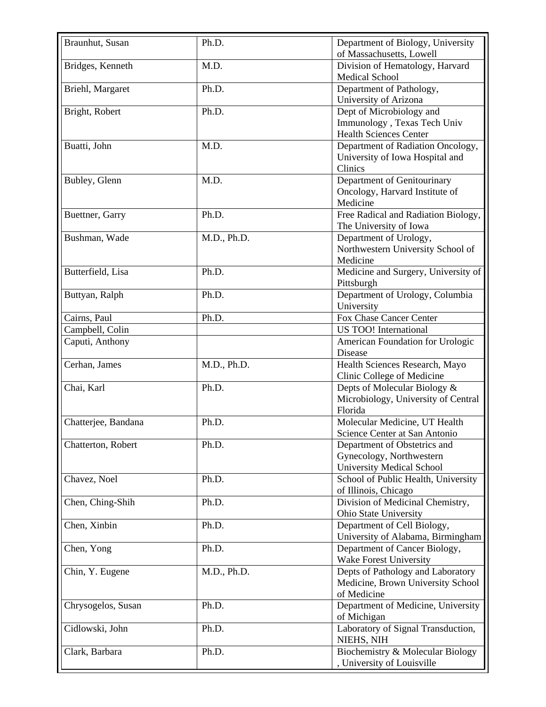| Braunhut, Susan     | Ph.D.       | Department of Biology, University<br>of Massachusetts, Lowell                                |
|---------------------|-------------|----------------------------------------------------------------------------------------------|
| Bridges, Kenneth    | M.D.        | Division of Hematology, Harvard<br><b>Medical School</b>                                     |
| Briehl, Margaret    | Ph.D.       | Department of Pathology,<br>University of Arizona                                            |
| Bright, Robert      | Ph.D.       | Dept of Microbiology and<br>Immunology, Texas Tech Univ<br><b>Health Sciences Center</b>     |
| Buatti, John        | M.D.        | Department of Radiation Oncology,<br>University of Iowa Hospital and<br>Clinics              |
| Bubley, Glenn       | M.D.        | Department of Genitourinary<br>Oncology, Harvard Institute of<br>Medicine                    |
| Buettner, Garry     | Ph.D.       | Free Radical and Radiation Biology,<br>The University of Iowa                                |
| Bushman, Wade       | M.D., Ph.D. | Department of Urology,<br>Northwestern University School of<br>Medicine                      |
| Butterfield, Lisa   | Ph.D.       | Medicine and Surgery, University of<br>Pittsburgh                                            |
| Buttyan, Ralph      | Ph.D.       | Department of Urology, Columbia<br>University                                                |
| Cairns, Paul        | Ph.D.       | Fox Chase Cancer Center                                                                      |
| Campbell, Colin     |             | US TOO! International                                                                        |
| Caputi, Anthony     |             | American Foundation for Urologic<br>Disease                                                  |
| Cerhan, James       | M.D., Ph.D. | Health Sciences Research, Mayo<br>Clinic College of Medicine                                 |
| Chai, Karl          | Ph.D.       | Depts of Molecular Biology &<br>Microbiology, University of Central<br>Florida               |
| Chatterjee, Bandana | Ph.D.       | Molecular Medicine, UT Health<br>Science Center at San Antonio                               |
| Chatterton, Robert  | Ph.D.       | Department of Obstetrics and<br>Gynecology, Northwestern<br><b>University Medical School</b> |
| Chavez, Noel        | Ph.D.       | School of Public Health, University<br>of Illinois, Chicago                                  |
| Chen, Ching-Shih    | Ph.D.       | Division of Medicinal Chemistry,<br>Ohio State University                                    |
| Chen, Xinbin        | Ph.D.       | Department of Cell Biology,<br>University of Alabama, Birmingham                             |
| Chen, Yong          | Ph.D.       | Department of Cancer Biology,<br>Wake Forest University                                      |
| Chin, Y. Eugene     | M.D., Ph.D. | Depts of Pathology and Laboratory<br>Medicine, Brown University School<br>of Medicine        |
| Chrysogelos, Susan  | Ph.D.       | Department of Medicine, University<br>of Michigan                                            |
| Cidlowski, John     | Ph.D.       | Laboratory of Signal Transduction,<br>NIEHS, NIH                                             |
| Clark, Barbara      | Ph.D.       | Biochemistry & Molecular Biology<br>, University of Louisville                               |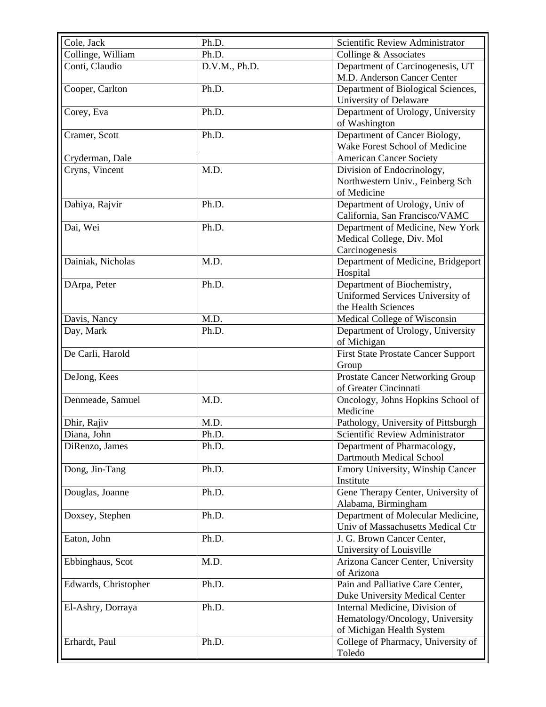| Cole, Jack           | Ph.D.         | Scientific Review Administrator                                                                |
|----------------------|---------------|------------------------------------------------------------------------------------------------|
| Collinge, William    | Ph.D.         | Collinge & Associates                                                                          |
| Conti, Claudio       | D.V.M., Ph.D. | Department of Carcinogenesis, UT<br>M.D. Anderson Cancer Center                                |
| Cooper, Carlton      | Ph.D.         | Department of Biological Sciences,<br>University of Delaware                                   |
| Corey, Eva           | Ph.D.         | Department of Urology, University<br>of Washington                                             |
| Cramer, Scott        | Ph.D.         | Department of Cancer Biology,<br>Wake Forest School of Medicine                                |
| Cryderman, Dale      |               | <b>American Cancer Society</b>                                                                 |
| Cryns, Vincent       | M.D.          | Division of Endocrinology,<br>Northwestern Univ., Feinberg Sch<br>of Medicine                  |
| Dahiya, Rajvir       | Ph.D.         | Department of Urology, Univ of<br>California, San Francisco/VAMC                               |
| Dai, Wei             | Ph.D.         | Department of Medicine, New York<br>Medical College, Div. Mol<br>Carcinogenesis                |
| Dainiak, Nicholas    | M.D.          | Department of Medicine, Bridgeport<br>Hospital                                                 |
| DArpa, Peter         | Ph.D.         | Department of Biochemistry,<br>Uniformed Services University of<br>the Health Sciences         |
| Davis, Nancy         | M.D.          | Medical College of Wisconsin                                                                   |
| Day, Mark            | Ph.D.         | Department of Urology, University<br>of Michigan                                               |
| De Carli, Harold     |               | <b>First State Prostate Cancer Support</b><br>Group                                            |
| DeJong, Kees         |               | Prostate Cancer Networking Group<br>of Greater Cincinnati                                      |
| Denmeade, Samuel     | M.D.          | Oncology, Johns Hopkins School of<br>Medicine                                                  |
| Dhir, Rajiv          | M.D.          | Pathology, University of Pittsburgh                                                            |
| Diana, John          | Ph.D.         | Scientific Review Administrator                                                                |
| DiRenzo, James       | Ph.D.         | Department of Pharmacology,<br>Dartmouth Medical School                                        |
| Dong, Jin-Tang       | Ph.D.         | Emory University, Winship Cancer<br>Institute                                                  |
| Douglas, Joanne      | Ph.D.         | Gene Therapy Center, University of<br>Alabama, Birmingham                                      |
| Doxsey, Stephen      | Ph.D.         | Department of Molecular Medicine,<br>Univ of Massachusetts Medical Ctr                         |
| Eaton, John          | Ph.D.         | J. G. Brown Cancer Center,<br>University of Louisville                                         |
| Ebbinghaus, Scot     | M.D.          | Arizona Cancer Center, University<br>of Arizona                                                |
| Edwards, Christopher | Ph.D.         | Pain and Palliative Care Center,<br>Duke University Medical Center                             |
| El-Ashry, Dorraya    | Ph.D.         | Internal Medicine, Division of<br>Hematology/Oncology, University<br>of Michigan Health System |
| Erhardt, Paul        | Ph.D.         | College of Pharmacy, University of<br>Toledo                                                   |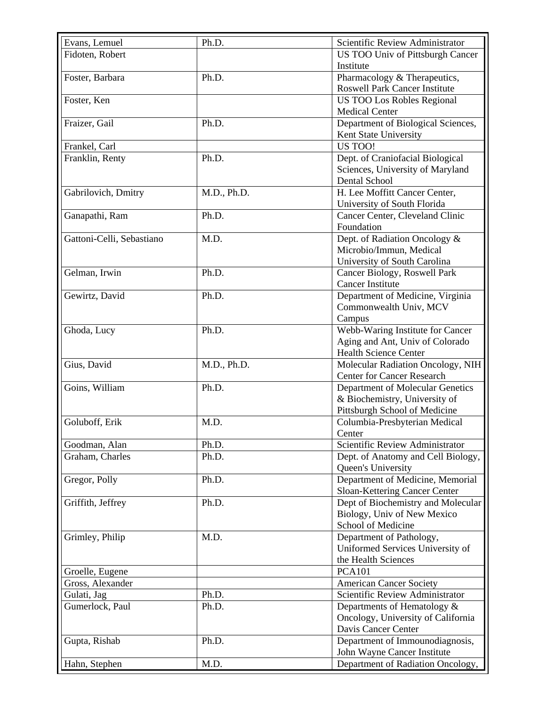| Evans, Lemuel             | Ph.D.       | Scientific Review Administrator      |
|---------------------------|-------------|--------------------------------------|
| Fidoten, Robert           |             | US TOO Univ of Pittsburgh Cancer     |
|                           |             | Institute                            |
| Foster, Barbara           | Ph.D.       | Pharmacology & Therapeutics,         |
|                           |             | <b>Roswell Park Cancer Institute</b> |
| Foster, Ken               |             | <b>US TOO Los Robles Regional</b>    |
|                           |             | <b>Medical Center</b>                |
| Fraizer, Gail             | Ph.D.       | Department of Biological Sciences,   |
|                           |             | Kent State University                |
| Frankel, Carl             |             | US TOO!                              |
| Franklin, Renty           | Ph.D.       | Dept. of Craniofacial Biological     |
|                           |             | Sciences, University of Maryland     |
|                           |             | Dental School                        |
| Gabrilovich, Dmitry       | M.D., Ph.D. | H. Lee Moffitt Cancer Center,        |
|                           |             | University of South Florida          |
| Ganapathi, Ram            | Ph.D.       | Cancer Center, Cleveland Clinic      |
|                           |             | Foundation                           |
| Gattoni-Celli, Sebastiano | M.D.        | Dept. of Radiation Oncology &        |
|                           |             | Microbio/Immun, Medical              |
|                           |             | University of South Carolina         |
| Gelman, Irwin             | Ph.D.       | Cancer Biology, Roswell Park         |
|                           |             | Cancer Institute                     |
| Gewirtz, David            | Ph.D.       | Department of Medicine, Virginia     |
|                           |             | Commonwealth Univ, MCV               |
|                           |             | Campus                               |
| Ghoda, Lucy               | Ph.D.       | Webb-Waring Institute for Cancer     |
|                           |             | Aging and Ant, Univ of Colorado      |
|                           |             | <b>Health Science Center</b>         |
| Gius, David               | M.D., Ph.D. | Molecular Radiation Oncology, NIH    |
|                           |             | <b>Center for Cancer Research</b>    |
| Goins, William            | Ph.D.       | Department of Molecular Genetics     |
|                           |             | & Biochemistry, University of        |
|                           |             | Pittsburgh School of Medicine        |
| Goluboff, Erik            | M.D.        | Columbia-Presbyterian Medical        |
|                           |             | Center                               |
| Goodman, Alan             | Ph.D.       | Scientific Review Administrator      |
| Graham, Charles           | Ph.D.       | Dept. of Anatomy and Cell Biology,   |
|                           |             | Queen's University                   |
| Gregor, Polly             | Ph.D.       | Department of Medicine, Memorial     |
|                           |             | Sloan-Kettering Cancer Center        |
|                           |             |                                      |
| Griffith, Jeffrey         | Ph.D.       | Dept of Biochemistry and Molecular   |
|                           |             | Biology, Univ of New Mexico          |
|                           |             | School of Medicine                   |
| Grimley, Philip           | M.D.        | Department of Pathology,             |
|                           |             | Uniformed Services University of     |
|                           |             | the Health Sciences                  |
| Groelle, Eugene           |             | <b>PCA101</b>                        |
| Gross, Alexander          |             | <b>American Cancer Society</b>       |
| Gulati, Jag               | Ph.D.       | Scientific Review Administrator      |
| Gumerlock, Paul           | Ph.D.       | Departments of Hematology &          |
|                           |             | Oncology, University of California   |
|                           |             | Davis Cancer Center                  |
| Gupta, Rishab             | Ph.D.       | Department of Immounodiagnosis,      |
|                           |             | John Wayne Cancer Institute          |
| Hahn, Stephen             | M.D.        | Department of Radiation Oncology,    |
|                           |             |                                      |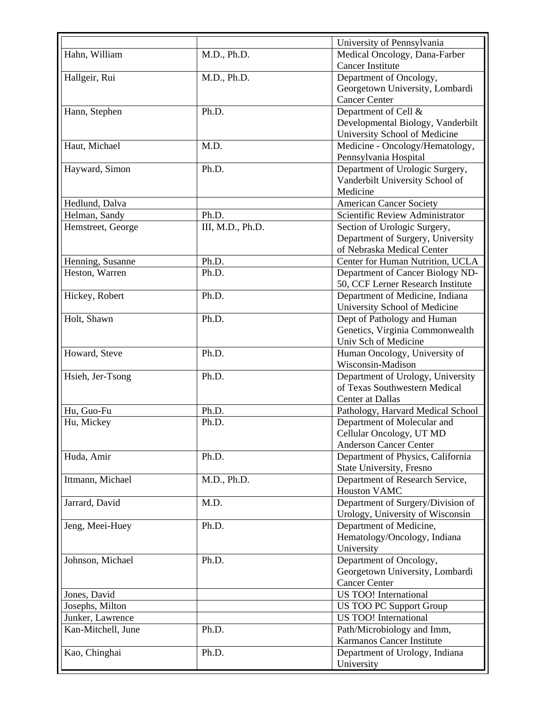|                    |                  | University of Pennsylvania                              |
|--------------------|------------------|---------------------------------------------------------|
| Hahn, William      | M.D., Ph.D.      | Medical Oncology, Dana-Farber                           |
|                    |                  | <b>Cancer Institute</b>                                 |
| Hallgeir, Rui      | M.D., Ph.D.      | Department of Oncology,                                 |
|                    |                  | Georgetown University, Lombardi                         |
|                    |                  | <b>Cancer Center</b>                                    |
| Hann, Stephen      | Ph.D.            | Department of Cell &                                    |
|                    |                  | Developmental Biology, Vanderbilt                       |
|                    |                  | University School of Medicine                           |
| Haut, Michael      | M.D.             | Medicine - Oncology/Hematology,                         |
|                    |                  | Pennsylvania Hospital                                   |
| Hayward, Simon     | Ph.D.            | Department of Urologic Surgery,                         |
|                    |                  | Vanderbilt University School of                         |
|                    |                  | Medicine                                                |
| Hedlund, Dalva     |                  | <b>American Cancer Society</b>                          |
| Helman, Sandy      | Ph.D.            | Scientific Review Administrator                         |
| Hemstreet, George  | III, M.D., Ph.D. | Section of Urologic Surgery,                            |
|                    |                  | Department of Surgery, University                       |
|                    |                  | of Nebraska Medical Center                              |
| Henning, Susanne   | Ph.D.            | Center for Human Nutrition, UCLA                        |
| Heston, Warren     | Ph.D.            | Department of Cancer Biology ND-                        |
|                    |                  | 50, CCF Lerner Research Institute                       |
| Hickey, Robert     | Ph.D.            | Department of Medicine, Indiana                         |
|                    |                  |                                                         |
| Holt, Shawn        | Ph.D.            | University School of Medicine                           |
|                    |                  | Dept of Pathology and Human                             |
|                    |                  | Genetics, Virginia Commonwealth<br>Univ Sch of Medicine |
|                    |                  |                                                         |
| Howard, Steve      | Ph.D.            | Human Oncology, University of                           |
|                    |                  | Wisconsin-Madison                                       |
| Hsieh, Jer-Tsong   | Ph.D.            | Department of Urology, University                       |
|                    |                  | of Texas Southwestern Medical<br>Center at Dallas       |
|                    | Ph.D.            |                                                         |
| Hu, Guo-Fu         |                  | Pathology, Harvard Medical School                       |
| Hu, Mickey         | Ph.D.            | Department of Molecular and                             |
|                    |                  | Cellular Oncology, UT MD                                |
|                    |                  | <b>Anderson Cancer Center</b>                           |
| Huda, Amir         | Ph.D.            | Department of Physics, California                       |
|                    |                  | State University, Fresno                                |
| Ittmann, Michael   | M.D., Ph.D.      | Department of Research Service,                         |
|                    |                  | <b>Houston VAMC</b>                                     |
| Jarrard, David     | M.D.             | Department of Surgery/Division of                       |
|                    |                  | Urology, University of Wisconsin                        |
| Jeng, Meei-Huey    | Ph.D.            | Department of Medicine,                                 |
|                    |                  | Hematology/Oncology, Indiana                            |
|                    |                  | University                                              |
| Johnson, Michael   | Ph.D.            | Department of Oncology,                                 |
|                    |                  | Georgetown University, Lombardi                         |
|                    |                  | <b>Cancer Center</b>                                    |
| Jones, David       |                  | US TOO! International                                   |
| Josephs, Milton    |                  | <b>US TOO PC Support Group</b>                          |
| Junker, Lawrence   |                  | US TOO! International                                   |
| Kan-Mitchell, June | Ph.D.            | Path/Microbiology and Imm,                              |
|                    |                  | Karmanos Cancer Institute                               |
| Kao, Chinghai      | Ph.D.            | Department of Urology, Indiana                          |
|                    |                  | University                                              |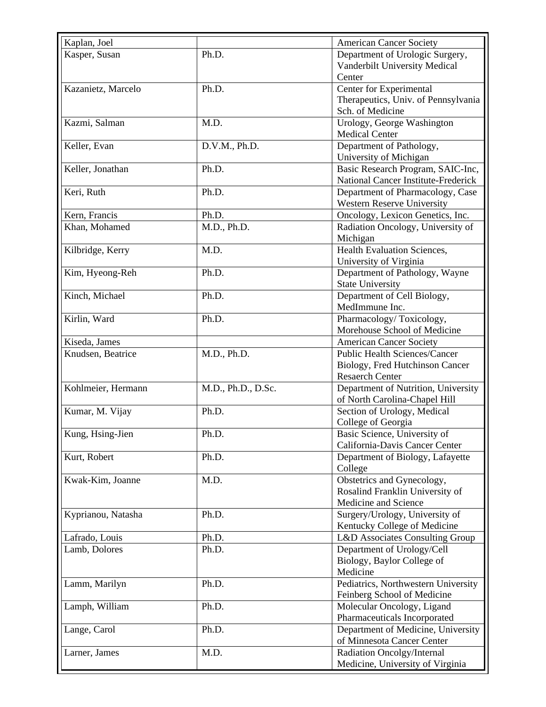| Kaplan, Joel       |                    | <b>American Cancer Society</b>             |
|--------------------|--------------------|--------------------------------------------|
| Kasper, Susan      | Ph.D.              | Department of Urologic Surgery,            |
|                    |                    | Vanderbilt University Medical              |
|                    |                    | Center                                     |
| Kazanietz, Marcelo | Ph.D.              | Center for Experimental                    |
|                    |                    | Therapeutics, Univ. of Pennsylvania        |
|                    |                    | Sch. of Medicine                           |
| Kazmi, Salman      | M.D.               | Urology, George Washington                 |
|                    |                    | <b>Medical Center</b>                      |
| Keller, Evan       | D.V.M., Ph.D.      | Department of Pathology,                   |
|                    |                    | University of Michigan                     |
| Keller, Jonathan   | Ph.D.              | Basic Research Program, SAIC-Inc,          |
|                    |                    | <b>National Cancer Institute-Frederick</b> |
| Keri, Ruth         | Ph.D.              | Department of Pharmacology, Case           |
|                    |                    | Western Reserve University                 |
| Kern, Francis      | Ph.D.              | Oncology, Lexicon Genetics, Inc.           |
| Khan, Mohamed      | M.D., Ph.D.        | Radiation Oncology, University of          |
|                    |                    | Michigan                                   |
| Kilbridge, Kerry   | M.D.               | Health Evaluation Sciences,                |
|                    |                    | University of Virginia                     |
| Kim, Hyeong-Reh    | Ph.D.              | Department of Pathology, Wayne             |
|                    |                    | <b>State University</b>                    |
| Kinch, Michael     | Ph.D.              | Department of Cell Biology,                |
|                    |                    | MedImmune Inc.                             |
| Kirlin, Ward       | Ph.D.              | Pharmacology/Toxicology,                   |
|                    |                    | Morehouse School of Medicine               |
| Kiseda, James      |                    | <b>American Cancer Society</b>             |
| Knudsen, Beatrice  | M.D., Ph.D.        | <b>Public Health Sciences/Cancer</b>       |
|                    |                    | Biology, Fred Hutchinson Cancer            |
|                    |                    | <b>Resaerch Center</b>                     |
| Kohlmeier, Hermann | M.D., Ph.D., D.Sc. | Department of Nutrition, University        |
|                    |                    | of North Carolina-Chapel Hill              |
| Kumar, M. Vijay    | Ph.D.              | Section of Urology, Medical                |
|                    |                    | College of Georgia                         |
| Kung, Hsing-Jien   | Ph.D.              | Basic Science, University of               |
|                    |                    | California-Davis Cancer Center             |
| Kurt, Robert       | Ph.D.              | Department of Biology, Lafayette           |
|                    |                    | College                                    |
| Kwak-Kim, Joanne   | M.D.               | Obstetrics and Gynecology,                 |
|                    |                    | Rosalind Franklin University of            |
|                    |                    | Medicine and Science                       |
| Kyprianou, Natasha | Ph.D.              | Surgery/Urology, University of             |
|                    |                    | Kentucky College of Medicine               |
| Lafrado, Louis     | Ph.D.              | L&D Associates Consulting Group            |
| Lamb, Dolores      | Ph.D.              | Department of Urology/Cell                 |
|                    |                    | Biology, Baylor College of                 |
|                    |                    | Medicine                                   |
| Lamm, Marilyn      | Ph.D.              | Pediatrics, Northwestern University        |
|                    |                    | Feinberg School of Medicine                |
| Lamph, William     | Ph.D.              | Molecular Oncology, Ligand                 |
|                    |                    | Pharmaceuticals Incorporated               |
| Lange, Carol       | Ph.D.              | Department of Medicine, University         |
|                    |                    | of Minnesota Cancer Center                 |
| Larner, James      | M.D.               | Radiation Oncolgy/Internal                 |
|                    |                    | Medicine, University of Virginia           |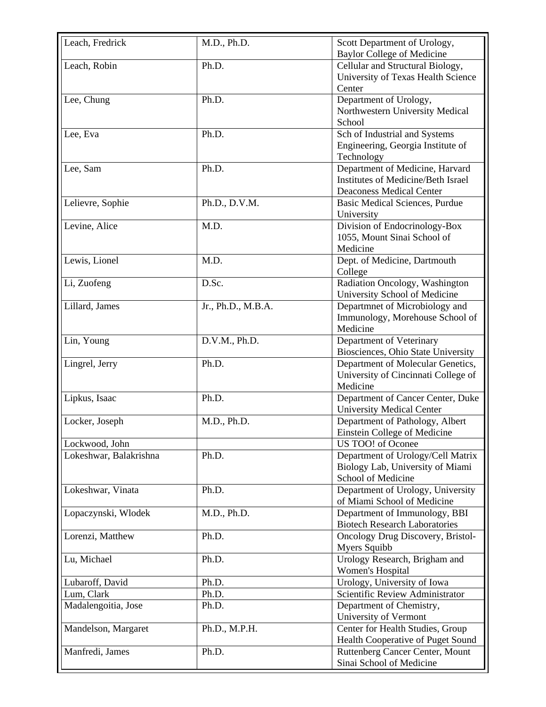| Leach, Fredrick        | M.D., Ph.D.        | Scott Department of Urology,<br><b>Baylor College of Medicine</b>                                               |
|------------------------|--------------------|-----------------------------------------------------------------------------------------------------------------|
| Leach, Robin           | Ph.D.              | Cellular and Structural Biology,<br>University of Texas Health Science<br>Center                                |
| Lee, Chung             | Ph.D.              | Department of Urology,<br>Northwestern University Medical<br>School                                             |
| Lee, Eva               | Ph.D.              | Sch of Industrial and Systems<br>Engineering, Georgia Institute of<br>Technology                                |
| Lee, Sam               | Ph.D.              | Department of Medicine, Harvard<br><b>Institutes of Medicine/Beth Israel</b><br><b>Deaconess Medical Center</b> |
| Lelievre, Sophie       | Ph.D., D.V.M.      | <b>Basic Medical Sciences, Purdue</b><br>University                                                             |
| Levine, Alice          | M.D.               | Division of Endocrinology-Box<br>1055, Mount Sinai School of<br>Medicine                                        |
| Lewis, Lionel          | M.D.               | Dept. of Medicine, Dartmouth<br>College                                                                         |
| Li, Zuofeng            | D.Sc.              | Radiation Oncology, Washington<br>University School of Medicine                                                 |
| Lillard, James         | Jr., Ph.D., M.B.A. | Departmnet of Microbiology and<br>Immunology, Morehouse School of<br>Medicine                                   |
| Lin, Young             | D.V.M., Ph.D.      | Department of Veterinary<br>Biosciences, Ohio State University                                                  |
| Lingrel, Jerry         | Ph.D.              | Department of Molecular Genetics,<br>University of Cincinnati College of<br>Medicine                            |
| Lipkus, Isaac          | Ph.D.              | Department of Cancer Center, Duke<br><b>University Medical Center</b>                                           |
| Locker, Joseph         | M.D., Ph.D.        | Department of Pathology, Albert<br>Einstein College of Medicine                                                 |
| Lockwood, John         |                    | US TOO! of Oconee                                                                                               |
| Lokeshwar, Balakrishna | Ph.D.              | Department of Urology/Cell Matrix<br>Biology Lab, University of Miami<br>School of Medicine                     |
| Lokeshwar, Vinata      | Ph.D.              | Department of Urology, University<br>of Miami School of Medicine                                                |
| Lopaczynski, Włodek    | M.D., Ph.D.        | Department of Immunology, BBI<br><b>Biotech Research Laboratories</b>                                           |
| Lorenzi, Matthew       | Ph.D.              | Oncology Drug Discovery, Bristol-<br><b>Myers Squibb</b>                                                        |
| Lu, Michael            | Ph.D.              | Urology Research, Brigham and<br>Women's Hospital                                                               |
| Lubaroff, David        | Ph.D.              | Urology, University of Iowa                                                                                     |
| Lum, Clark             | Ph.D.              | Scientific Review Administrator                                                                                 |
| Madalengoitia, Jose    | Ph.D.              | Department of Chemistry,<br>University of Vermont                                                               |
| Mandelson, Margaret    | Ph.D., M.P.H.      | Center for Health Studies, Group<br>Health Cooperative of Puget Sound                                           |
| Manfredi, James        | Ph.D.              | Ruttenberg Cancer Center, Mount<br>Sinai School of Medicine                                                     |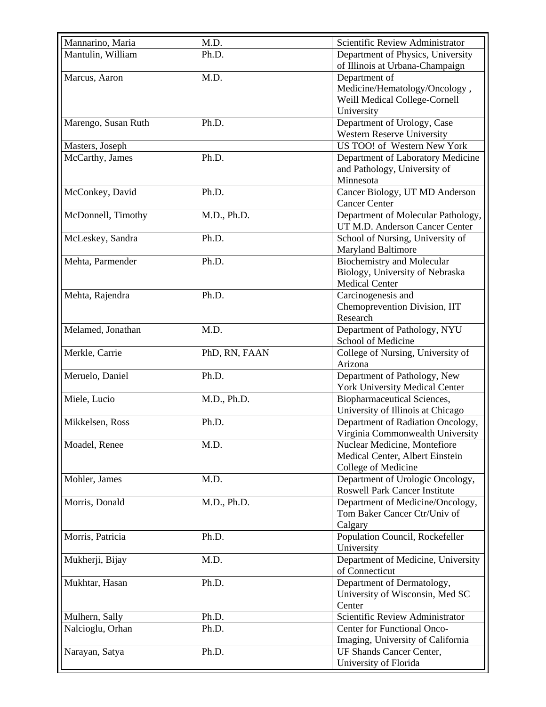| Mannarino, Maria    | M.D.          | Scientific Review Administrator      |
|---------------------|---------------|--------------------------------------|
| Mantulin, William   | Ph.D.         | Department of Physics, University    |
|                     |               | of Illinois at Urbana-Champaign      |
| Marcus, Aaron       | M.D.          | Department of                        |
|                     |               |                                      |
|                     |               | Medicine/Hematology/Oncology,        |
|                     |               | Weill Medical College-Cornell        |
|                     | Ph.D.         | University                           |
| Marengo, Susan Ruth |               | Department of Urology, Case          |
|                     |               | Western Reserve University           |
| Masters, Joseph     |               | US TOO! of Western New York          |
| McCarthy, James     | Ph.D.         | Department of Laboratory Medicine    |
|                     |               | and Pathology, University of         |
|                     |               | Minnesota                            |
| McConkey, David     | Ph.D.         | Cancer Biology, UT MD Anderson       |
|                     |               | <b>Cancer Center</b>                 |
| McDonnell, Timothy  | M.D., Ph.D.   | Department of Molecular Pathology,   |
|                     |               | UT M.D. Anderson Cancer Center       |
| McLeskey, Sandra    | Ph.D.         | School of Nursing, University of     |
|                     |               | <b>Maryland Baltimore</b>            |
| Mehta, Parmender    | Ph.D.         | <b>Biochemistry and Molecular</b>    |
|                     |               | Biology, University of Nebraska      |
|                     |               | <b>Medical Center</b>                |
| Mehta, Rajendra     | Ph.D.         | Carcinogenesis and                   |
|                     |               | Chemoprevention Division, IIT        |
|                     |               | Research                             |
| Melamed, Jonathan   | M.D.          | Department of Pathology, NYU         |
|                     |               | School of Medicine                   |
| Merkle, Carrie      | PhD, RN, FAAN | College of Nursing, University of    |
|                     |               | Arizona                              |
| Meruelo, Daniel     | Ph.D.         | Department of Pathology, New         |
|                     |               | York University Medical Center       |
| Miele, Lucio        | M.D., Ph.D.   | Biopharmaceutical Sciences,          |
|                     |               | University of Illinois at Chicago    |
| Mikkelsen, Ross     | Ph.D.         | Department of Radiation Oncology,    |
|                     |               | Virginia Commonwealth University     |
| Moadel, Renee       | M.D.          | Nuclear Medicine, Montefiore         |
|                     |               | Medical Center, Albert Einstein      |
|                     |               | College of Medicine                  |
| Mohler, James       | M.D.          | Department of Urologic Oncology,     |
|                     |               | <b>Roswell Park Cancer Institute</b> |
| Morris, Donald      | M.D., Ph.D.   | Department of Medicine/Oncology,     |
|                     |               | Tom Baker Cancer Ctr/Univ of         |
|                     |               | Calgary                              |
| Morris, Patricia    | Ph.D.         | Population Council, Rockefeller      |
|                     |               | University                           |
| Mukherji, Bijay     | M.D.          | Department of Medicine, University   |
|                     |               | of Connecticut                       |
| Mukhtar, Hasan      | Ph.D.         | Department of Dermatology,           |
|                     |               | University of Wisconsin, Med SC      |
|                     |               | Center                               |
| Mulhern, Sally      | Ph.D.         | Scientific Review Administrator      |
| Nalcioglu, Orhan    | Ph.D.         | <b>Center for Functional Onco-</b>   |
|                     |               | Imaging, University of California    |
| Narayan, Satya      | Ph.D.         | <b>UF Shands Cancer Center,</b>      |
|                     |               | University of Florida                |
|                     |               |                                      |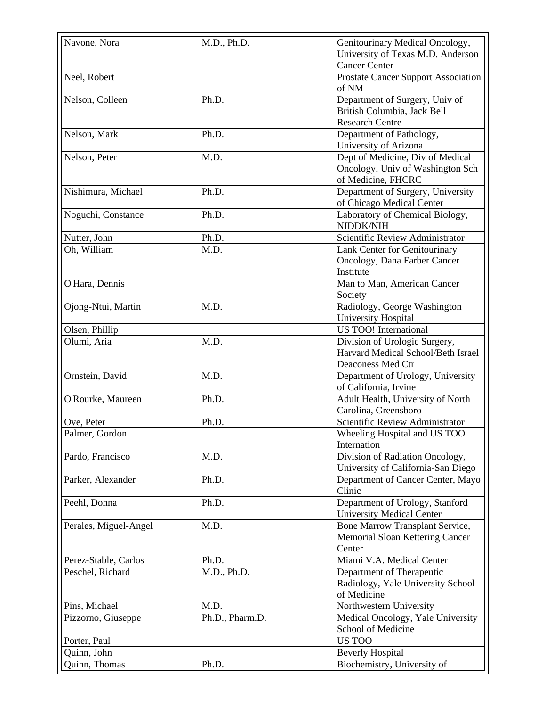| Navone, Nora          | M.D., Ph.D.     | Genitourinary Medical Oncology,        |
|-----------------------|-----------------|----------------------------------------|
|                       |                 |                                        |
|                       |                 | University of Texas M.D. Anderson      |
|                       |                 | <b>Cancer Center</b>                   |
| Neel, Robert          |                 | Prostate Cancer Support Association    |
|                       |                 | of NM                                  |
| Nelson, Colleen       | Ph.D.           | Department of Surgery, Univ of         |
|                       |                 | British Columbia, Jack Bell            |
|                       |                 | <b>Research Centre</b>                 |
| Nelson, Mark          | Ph.D.           | Department of Pathology,               |
|                       |                 |                                        |
|                       |                 | University of Arizona                  |
| Nelson, Peter         | M.D.            | Dept of Medicine, Div of Medical       |
|                       |                 | Oncology, Univ of Washington Sch       |
|                       |                 | of Medicine, FHCRC                     |
| Nishimura, Michael    | Ph.D.           | Department of Surgery, University      |
|                       |                 | of Chicago Medical Center              |
| Noguchi, Constance    | Ph.D.           | Laboratory of Chemical Biology,        |
|                       |                 | NIDDK/NIH                              |
| Nutter, John          | Ph.D.           | Scientific Review Administrator        |
|                       |                 |                                        |
| Oh, William           | M.D.            | Lank Center for Genitourinary          |
|                       |                 | Oncology, Dana Farber Cancer           |
|                       |                 | Institute                              |
| O'Hara, Dennis        |                 | Man to Man, American Cancer            |
|                       |                 | Society                                |
| Ojong-Ntui, Martin    | M.D.            | Radiology, George Washington           |
|                       |                 | University Hospital                    |
| Olsen, Phillip        |                 | US TOO! International                  |
| Olumi, Aria           | M.D.            | Division of Urologic Surgery,          |
|                       |                 | Harvard Medical School/Beth Israel     |
|                       |                 |                                        |
|                       |                 | Deaconess Med Ctr                      |
| Ornstein, David       | M.D.            | Department of Urology, University      |
|                       |                 | of California, Irvine                  |
| O'Rourke, Maureen     | Ph.D.           | Adult Health, University of North      |
|                       |                 | Carolina, Greensboro                   |
| Ove, Peter            | Ph.D.           | Scientific Review Administrator        |
| Palmer, Gordon        |                 | Wheeling Hospital and US TOO           |
|                       |                 | Internation                            |
| Pardo, Francisco      | M.D.            | Division of Radiation Oncology,        |
|                       |                 |                                        |
|                       |                 | University of California-San Diego     |
| Parker, Alexander     | Ph.D.           | Department of Cancer Center, Mayo      |
|                       |                 | Clinic                                 |
| Peehl, Donna          | Ph.D.           | Department of Urology, Stanford        |
|                       |                 | <b>University Medical Center</b>       |
| Perales, Miguel-Angel | M.D.            | <b>Bone Marrow Transplant Service,</b> |
|                       |                 | Memorial Sloan Kettering Cancer        |
|                       |                 | Center                                 |
| Perez-Stable, Carlos  | Ph.D.           | Miami V.A. Medical Center              |
| Peschel, Richard      |                 |                                        |
|                       | M.D., Ph.D.     | Department of Therapeutic              |
|                       |                 | Radiology, Yale University School      |
|                       |                 | of Medicine                            |
| Pins, Michael         | M.D.            | Northwestern University                |
| Pizzorno, Giuseppe    | Ph.D., Pharm.D. | Medical Oncology, Yale University      |
|                       |                 | School of Medicine                     |
| Porter, Paul          |                 | <b>US TOO</b>                          |
| Quinn, John           |                 | <b>Beverly Hospital</b>                |
| Quinn, Thomas         | Ph.D.           | Biochemistry, University of            |
|                       |                 |                                        |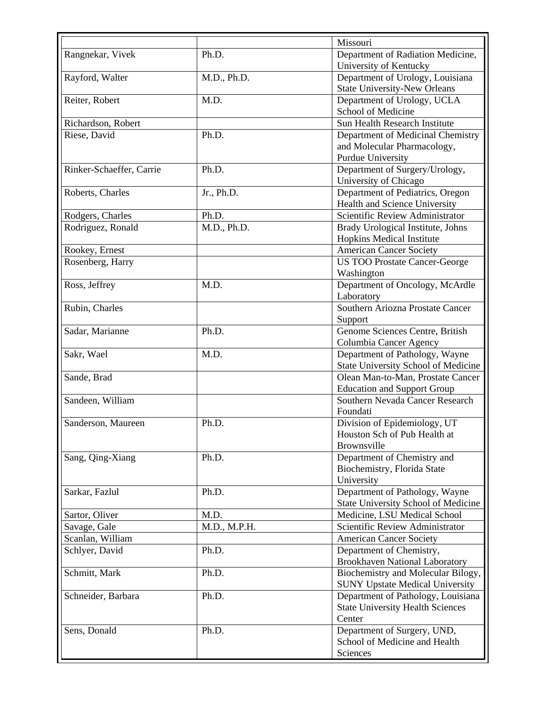|                          |              | Missouri                                                     |
|--------------------------|--------------|--------------------------------------------------------------|
| Rangnekar, Vivek         | Ph.D.        | Department of Radiation Medicine,                            |
|                          |              | University of Kentucky                                       |
| Rayford, Walter          | M.D., Ph.D.  | Department of Urology, Louisiana                             |
|                          |              | <b>State University-New Orleans</b>                          |
| Reiter, Robert           | M.D.         | Department of Urology, UCLA                                  |
|                          |              | School of Medicine                                           |
| Richardson, Robert       |              | Sun Health Research Institute                                |
| Riese, David             | Ph.D.        | Department of Medicinal Chemistry                            |
|                          |              | and Molecular Pharmacology,                                  |
|                          |              | Purdue University                                            |
| Rinker-Schaeffer, Carrie | Ph.D.        | Department of Surgery/Urology,                               |
|                          |              | University of Chicago                                        |
| Roberts, Charles         | Jr., Ph.D.   | Department of Pediatrics, Oregon                             |
|                          |              | Health and Science University                                |
| Rodgers, Charles         | Ph.D.        | Scientific Review Administrator                              |
| Rodriguez, Ronald        | M.D., Ph.D.  | Brady Urological Institute, Johns                            |
|                          |              | <b>Hopkins Medical Institute</b>                             |
| Rookey, Ernest           |              | <b>American Cancer Society</b>                               |
| Rosenberg, Harry         |              | <b>US TOO Prostate Cancer-George</b>                         |
|                          |              | Washington                                                   |
| Ross, Jeffrey            | M.D.         | Department of Oncology, McArdle                              |
|                          |              | Laboratory                                                   |
| Rubin, Charles           |              | Southern Ariozna Prostate Cancer                             |
|                          |              | Support                                                      |
| Sadar, Marianne          | Ph.D.        | Genome Sciences Centre, British                              |
|                          |              | Columbia Cancer Agency                                       |
| Sakr, Wael               | M.D.         | Department of Pathology, Wayne                               |
|                          |              | State University School of Medicine                          |
| Sande, Brad              |              | Olean Man-to-Man, Prostate Cancer                            |
|                          |              | <b>Education and Support Group</b>                           |
| Sandeen, William         |              | Southern Nevada Cancer Research                              |
|                          |              | Foundati                                                     |
| Sanderson, Maureen       | Ph.D.        | Division of Epidemiology, UT                                 |
|                          |              | Houston Sch of Pub Health at                                 |
|                          |              | <b>Brownsville</b>                                           |
| Sang, Qing-Xiang         | Ph.D.        | Department of Chemistry and                                  |
|                          |              | Biochemistry, Florida State                                  |
|                          |              | University                                                   |
| Sarkar, Fazlul           | Ph.D.        | Department of Pathology, Wayne                               |
|                          |              | State University School of Medicine                          |
| Sartor, Oliver           | M.D.         | Medicine, LSU Medical School                                 |
| Savage, Gale             | M.D., M.P.H. | Scientific Review Administrator                              |
| Scanlan, William         |              | <b>American Cancer Society</b>                               |
| Schlyer, David           | Ph.D.        | Department of Chemistry,                                     |
|                          |              | <b>Brookhaven National Laboratory</b>                        |
| Schmitt, Mark            | Ph.D.        | Biochemistry and Molecular Bilogy,                           |
|                          |              | <b>SUNY Upstate Medical University</b>                       |
| Schneider, Barbara       | Ph.D.        | Department of Pathology, Louisiana                           |
|                          |              | <b>State University Health Sciences</b>                      |
|                          |              | Center                                                       |
| Sens, Donald             | Ph.D.        | Department of Surgery, UND,<br>School of Medicine and Health |
|                          |              |                                                              |
|                          |              | Sciences                                                     |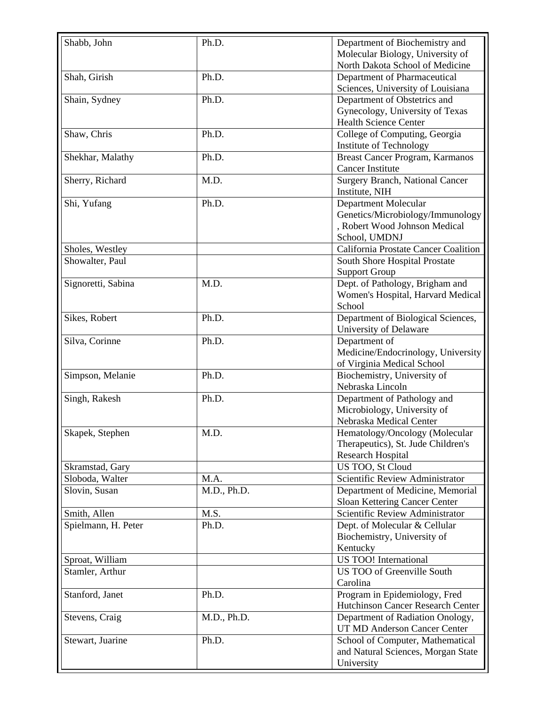| Shabb, John         | Ph.D.       | Department of Biochemistry and         |
|---------------------|-------------|----------------------------------------|
|                     |             | Molecular Biology, University of       |
|                     |             | North Dakota School of Medicine        |
| Shah, Girish        | Ph.D.       | Department of Pharmaceutical           |
|                     |             | Sciences, University of Louisiana      |
| Shain, Sydney       | Ph.D.       | Department of Obstetrics and           |
|                     |             | Gynecology, University of Texas        |
|                     |             | Health Science Center                  |
| Shaw, Chris         | Ph.D.       | College of Computing, Georgia          |
|                     |             | <b>Institute of Technology</b>         |
| Shekhar, Malathy    | Ph.D.       | Breast Cancer Program, Karmanos        |
|                     |             | <b>Cancer Institute</b>                |
| Sherry, Richard     | M.D.        | <b>Surgery Branch, National Cancer</b> |
|                     |             | Institute, NIH                         |
| Shi, Yufang         | Ph.D.       | Department Molecular                   |
|                     |             | Genetics/Microbiology/Immunology       |
|                     |             | , Robert Wood Johnson Medical          |
|                     |             | School, UMDNJ                          |
| Sholes, Westley     |             | California Prostate Cancer Coalition   |
| Showalter, Paul     |             | South Shore Hospital Prostate          |
|                     |             | <b>Support Group</b>                   |
| Signoretti, Sabina  | M.D.        | Dept. of Pathology, Brigham and        |
|                     |             | Women's Hospital, Harvard Medical      |
|                     |             | School                                 |
| Sikes, Robert       | Ph.D.       | Department of Biological Sciences,     |
|                     |             | University of Delaware                 |
| Silva, Corinne      | Ph.D.       | Department of                          |
|                     |             | Medicine/Endocrinology, University     |
|                     |             | of Virginia Medical School             |
| Simpson, Melanie    | Ph.D.       | Biochemistry, University of            |
|                     |             | Nebraska Lincoln                       |
| Singh, Rakesh       | Ph.D.       | Department of Pathology and            |
|                     |             | Microbiology, University of            |
|                     |             | Nebraska Medical Center                |
| Skapek, Stephen     | M.D.        | Hematology/Oncology (Molecular         |
|                     |             | Therapeutics), St. Jude Children's     |
|                     |             | <b>Research Hospital</b>               |
| Skramstad, Gary     |             | US TOO, St Cloud                       |
| Sloboda, Walter     | M.A.        | Scientific Review Administrator        |
| Slovin, Susan       | M.D., Ph.D. | Department of Medicine, Memorial       |
|                     |             | Sloan Kettering Cancer Center          |
| Smith, Allen        | M.S.        | Scientific Review Administrator        |
| Spielmann, H. Peter | Ph.D.       | Dept. of Molecular & Cellular          |
|                     |             | Biochemistry, University of            |
|                     |             | Kentucky                               |
| Sproat, William     |             | US TOO! International                  |
| Stamler, Arthur     |             | US TOO of Greenville South             |
|                     |             | Carolina                               |
| Stanford, Janet     | Ph.D.       | Program in Epidemiology, Fred          |
|                     |             | Hutchinson Cancer Research Center      |
| Stevens, Craig      | M.D., Ph.D. | Department of Radiation Onology,       |
|                     |             | UT MD Anderson Cancer Center           |
| Stewart, Juarine    | Ph.D.       | School of Computer, Mathematical       |
|                     |             | and Natural Sciences, Morgan State     |
|                     |             | University                             |
|                     |             |                                        |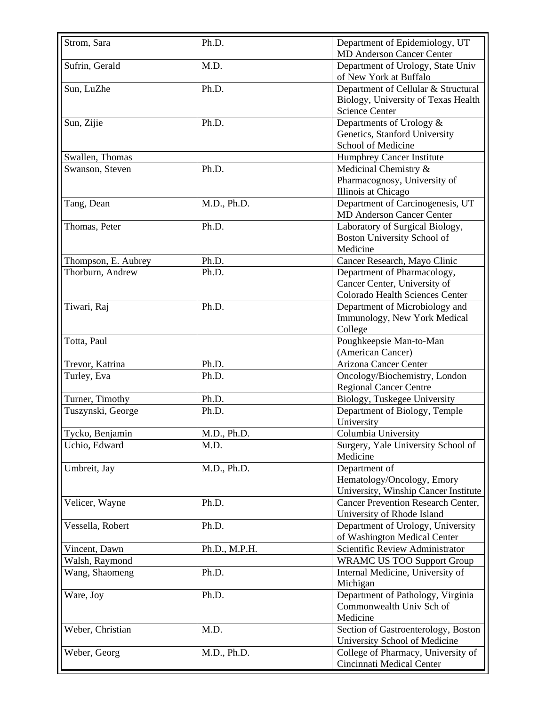| Strom, Sara         | Ph.D.         | Department of Epidemiology, UT<br><b>MD Anderson Cancer Center</b>                                  |
|---------------------|---------------|-----------------------------------------------------------------------------------------------------|
| Sufrin, Gerald      | M.D.          | Department of Urology, State Univ<br>of New York at Buffalo                                         |
| Sun, LuZhe          | Ph.D.         | Department of Cellular & Structural<br>Biology, University of Texas Health<br><b>Science Center</b> |
| Sun, Zijie          | Ph.D.         | Departments of Urology &<br>Genetics, Stanford University<br>School of Medicine                     |
| Swallen, Thomas     |               | Humphrey Cancer Institute                                                                           |
| Swanson, Steven     | Ph.D.         | Medicinal Chemistry &<br>Pharmacognosy, University of<br>Illinois at Chicago                        |
| Tang, Dean          | M.D., Ph.D.   | Department of Carcinogenesis, UT<br><b>MD Anderson Cancer Center</b>                                |
| Thomas, Peter       | Ph.D.         | Laboratory of Surgical Biology,<br>Boston University School of<br>Medicine                          |
| Thompson, E. Aubrey | Ph.D.         | Cancer Research, Mayo Clinic                                                                        |
| Thorburn, Andrew    | Ph.D.         | Department of Pharmacology,<br>Cancer Center, University of<br>Colorado Health Sciences Center      |
| Tiwari, Raj         | Ph.D.         | Department of Microbiology and<br>Immunology, New York Medical<br>College                           |
| Totta, Paul         |               | Poughkeepsie Man-to-Man<br>(American Cancer)                                                        |
| Trevor, Katrina     | Ph.D.         | Arizona Cancer Center                                                                               |
| Turley, Eva         | Ph.D.         | Oncology/Biochemistry, London<br><b>Regional Cancer Centre</b>                                      |
| Turner, Timothy     | Ph.D.         | Biology, Tuskegee University                                                                        |
| Tuszynski, George   | Ph.D.         | Department of Biology, Temple<br>University                                                         |
| Tycko, Benjamin     | M.D., Ph.D.   | Columbia University                                                                                 |
| Uchio, Edward       | M.D.          | Surgery, Yale University School of<br>Medicine                                                      |
| Umbreit, Jay        | M.D., Ph.D.   | Department of<br>Hematology/Oncology, Emory<br>University, Winship Cancer Institute                 |
| Velicer, Wayne      | Ph.D.         | <b>Cancer Prevention Research Center,</b><br>University of Rhode Island                             |
| Vessella, Robert    | Ph.D.         | Department of Urology, University<br>of Washington Medical Center                                   |
| Vincent, Dawn       | Ph.D., M.P.H. | Scientific Review Administrator                                                                     |
| Walsh, Raymond      |               | <b>WRAMC US TOO Support Group</b>                                                                   |
| Wang, Shaomeng      | Ph.D.         | Internal Medicine, University of<br>Michigan                                                        |
| Ware, Joy           | Ph.D.         | Department of Pathology, Virginia<br>Commonwealth Univ Sch of<br>Medicine                           |
| Weber, Christian    | M.D.          | Section of Gastroenterology, Boston<br>University School of Medicine                                |
| Weber, Georg        | M.D., Ph.D.   | College of Pharmacy, University of<br>Cincinnati Medical Center                                     |